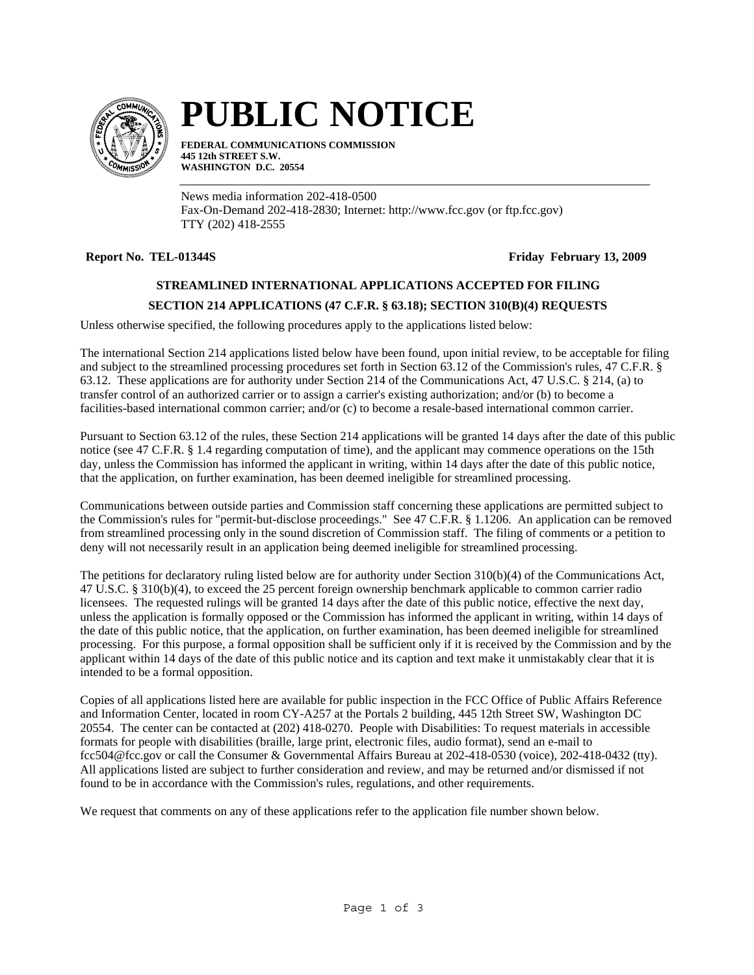

# **PUBLIC NOTICE**

**FEDERAL COMMUNICATIONS COMMISSION 445 12th STREET S.W. WASHINGTON D.C. 20554**

News media information 202-418-0500 Fax-On-Demand 202-418-2830; Internet: http://www.fcc.gov (or ftp.fcc.gov) TTY (202) 418-2555

**Report No. TEL-01344S** Friday February 13, 2009

## **STREAMLINED INTERNATIONAL APPLICATIONS ACCEPTED FOR FILING**

### **SECTION 214 APPLICATIONS (47 C.F.R. § 63.18); SECTION 310(B)(4) REQUESTS**

Unless otherwise specified, the following procedures apply to the applications listed below:

The international Section 214 applications listed below have been found, upon initial review, to be acceptable for filing and subject to the streamlined processing procedures set forth in Section 63.12 of the Commission's rules, 47 C.F.R. § 63.12. These applications are for authority under Section 214 of the Communications Act, 47 U.S.C. § 214, (a) to transfer control of an authorized carrier or to assign a carrier's existing authorization; and/or (b) to become a facilities-based international common carrier; and/or (c) to become a resale-based international common carrier.

Pursuant to Section 63.12 of the rules, these Section 214 applications will be granted 14 days after the date of this public notice (see 47 C.F.R. § 1.4 regarding computation of time), and the applicant may commence operations on the 15th day, unless the Commission has informed the applicant in writing, within 14 days after the date of this public notice, that the application, on further examination, has been deemed ineligible for streamlined processing.

Communications between outside parties and Commission staff concerning these applications are permitted subject to the Commission's rules for "permit-but-disclose proceedings." See 47 C.F.R. § 1.1206. An application can be removed from streamlined processing only in the sound discretion of Commission staff. The filing of comments or a petition to deny will not necessarily result in an application being deemed ineligible for streamlined processing.

The petitions for declaratory ruling listed below are for authority under Section 310(b)(4) of the Communications Act, 47 U.S.C. § 310(b)(4), to exceed the 25 percent foreign ownership benchmark applicable to common carrier radio licensees. The requested rulings will be granted 14 days after the date of this public notice, effective the next day, unless the application is formally opposed or the Commission has informed the applicant in writing, within 14 days of the date of this public notice, that the application, on further examination, has been deemed ineligible for streamlined processing. For this purpose, a formal opposition shall be sufficient only if it is received by the Commission and by the applicant within 14 days of the date of this public notice and its caption and text make it unmistakably clear that it is intended to be a formal opposition.

Copies of all applications listed here are available for public inspection in the FCC Office of Public Affairs Reference and Information Center, located in room CY-A257 at the Portals 2 building, 445 12th Street SW, Washington DC 20554. The center can be contacted at (202) 418-0270. People with Disabilities: To request materials in accessible formats for people with disabilities (braille, large print, electronic files, audio format), send an e-mail to fcc504@fcc.gov or call the Consumer & Governmental Affairs Bureau at 202-418-0530 (voice), 202-418-0432 (tty). All applications listed are subject to further consideration and review, and may be returned and/or dismissed if not found to be in accordance with the Commission's rules, regulations, and other requirements.

We request that comments on any of these applications refer to the application file number shown below.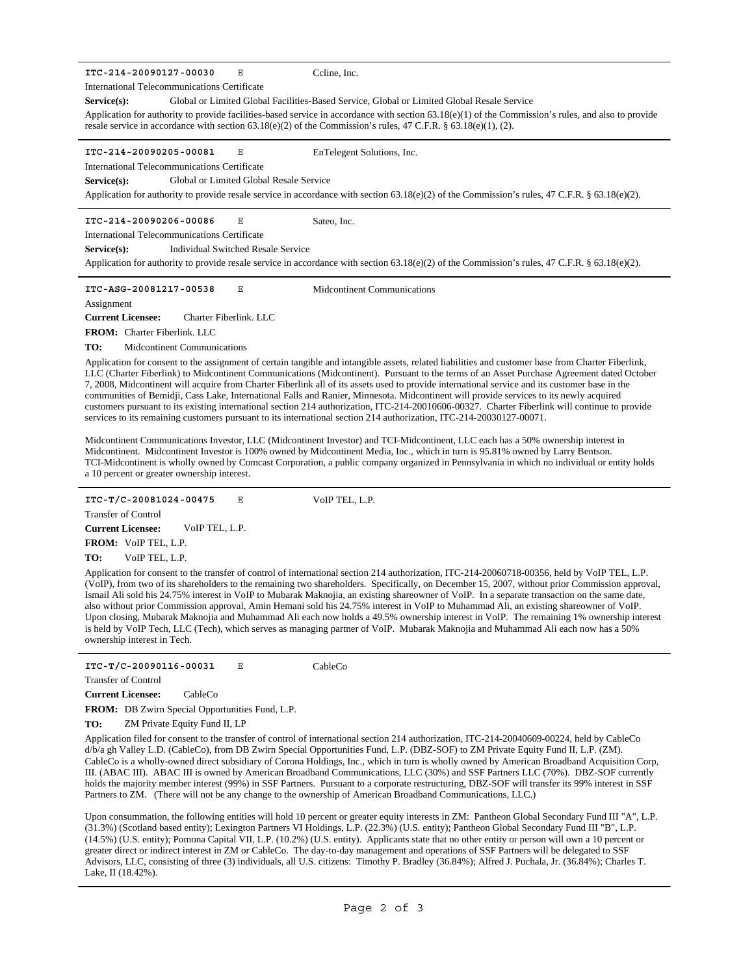**ITC-214-20090127-00030** E

International Telecommunications Certificate

**Service(s):** Global or Limited Global Facilities-Based Service, Global or Limited Global Resale Service

Ccline, Inc.

Sateo, Inc.

Application for authority to provide facilities-based service in accordance with section 63.18(e)(1) of the Commission's rules, and also to provide resale service in accordance with section 63.18(e)(2) of the Commission's rules, 47 C.F.R. § 63.18(e)(1), (2).

**ITC-214-20090205-00081** E

EnTelegent Solutions, Inc.

International Telecommunications Certificate

**Service(s):** Global or Limited Global Resale Service

Application for authority to provide resale service in accordance with section 63.18(e)(2) of the Commission's rules, 47 C.F.R. § 63.18(e)(2).

**ITC-214-20090206-00086** E

International Telecommunications Certificate

**Service(s):** Individual Switched Resale Service

Application for authority to provide resale service in accordance with section 63.18(e)(2) of the Commission's rules, 47 C.F.R. § 63.18(e)(2).

**ITC-ASG-20081217-00538** E Midcontinent Communications

**Assignment** 

**Current Licensee:** Charter Fiberlink. LLC

**FROM:** Charter Fiberlink. LLC

**TO:** Midcontinent Communications

Application for consent to the assignment of certain tangible and intangible assets, related liabilities and customer base from Charter Fiberlink, LLC (Charter Fiberlink) to Midcontinent Communications (Midcontinent). Pursuant to the terms of an Asset Purchase Agreement dated October 7, 2008, Midcontinent will acquire from Charter Fiberlink all of its assets used to provide international service and its customer base in the communities of Bemidji, Cass Lake, International Falls and Ranier, Minnesota. Midcontinent will provide services to its newly acquired customers pursuant to its existing international section 214 authorization, ITC-214-20010606-00327. Charter Fiberlink will continue to provide services to its remaining customers pursuant to its international section 214 authorization, ITC-214-20030127-00071.

Midcontinent Communications Investor, LLC (Midcontinent Investor) and TCI-Midcontinent, LLC each has a 50% ownership interest in Midcontinent. Midcontinent Investor is 100% owned by Midcontinent Media, Inc., which in turn is 95.81% owned by Larry Bentson. TCI-Midcontinent is wholly owned by Comcast Corporation, a public company organized in Pennsylvania in which no individual or entity holds a 10 percent or greater ownership interest.

**ITC-T/C-20081024-00475** E VoIP TEL, L.P.

Transfer of Control

**Current Licensee:** VoIP TEL, L.P.

**TO: FROM:** VoIP TEL, L.P. VoIP TEL, L.P.

Application for consent to the transfer of control of international section 214 authorization, ITC-214-20060718-00356, held by VoIP TEL, L.P. (VoIP), from two of its shareholders to the remaining two shareholders. Specifically, on December 15, 2007, without prior Commission approval, Ismail Ali sold his 24.75% interest in VoIP to Mubarak Maknojia, an existing shareowner of VoIP. In a separate transaction on the same date, also without prior Commission approval, Amin Hemani sold his 24.75% interest in VoIP to Muhammad Ali, an existing shareowner of VoIP. Upon closing, Mubarak Maknojia and Muhammad Ali each now holds a 49.5% ownership interest in VoIP. The remaining 1% ownership interest is held by VoIP Tech, LLC (Tech), which serves as managing partner of VoIP. Mubarak Maknojia and Muhammad Ali each now has a 50% ownership interest in Tech.

**ITC-T/C-20090116-00031** E CableCo

Transfer of Control

**Current Licensee:** CableCo

**FROM:** DB Zwirn Special Opportunities Fund, L.P.

**TO:** ZM Private Equity Fund II, LP

Application filed for consent to the transfer of control of international section 214 authorization, ITC-214-20040609-00224, held by CableCo d/b/a gh Valley L.D. (CableCo), from DB Zwirn Special Opportunities Fund, L.P. (DBZ-SOF) to ZM Private Equity Fund II, L.P. (ZM). CableCo is a wholly-owned direct subsidiary of Corona Holdings, Inc., which in turn is wholly owned by American Broadband Acquisition Corp, III. (ABAC III). ABAC III is owned by American Broadband Communications, LLC (30%) and SSF Partners LLC (70%). DBZ-SOF currently holds the majority member interest (99%) in SSF Partners. Pursuant to a corporate restructuring, DBZ-SOF will transfer its 99% interest in SSF Partners to ZM. (There will not be any change to the ownership of American Broadband Communications, LLC.)

Upon consummation, the following entities will hold 10 percent or greater equity interests in ZM: Pantheon Global Secondary Fund III "A", L.P. (31.3%) (Scotland based entity); Lexington Partners VI Holdings, L.P. (22.3%) (U.S. entity); Pantheon Global Secondary Fund III "B", L.P. (14.5%) (U.S. entity); Pomona Capital VII, L.P. (10.2%) (U.S. entity). Applicants state that no other entity or person will own a 10 percent or greater direct or indirect interest in ZM or CableCo. The day-to-day management and operations of SSF Partners will be delegated to SSF Advisors, LLC, consisting of three (3) individuals, all U.S. citizens: Timothy P. Bradley (36.84%); Alfred J. Puchala, Jr. (36.84%); Charles T. Lake, II (18.42%).